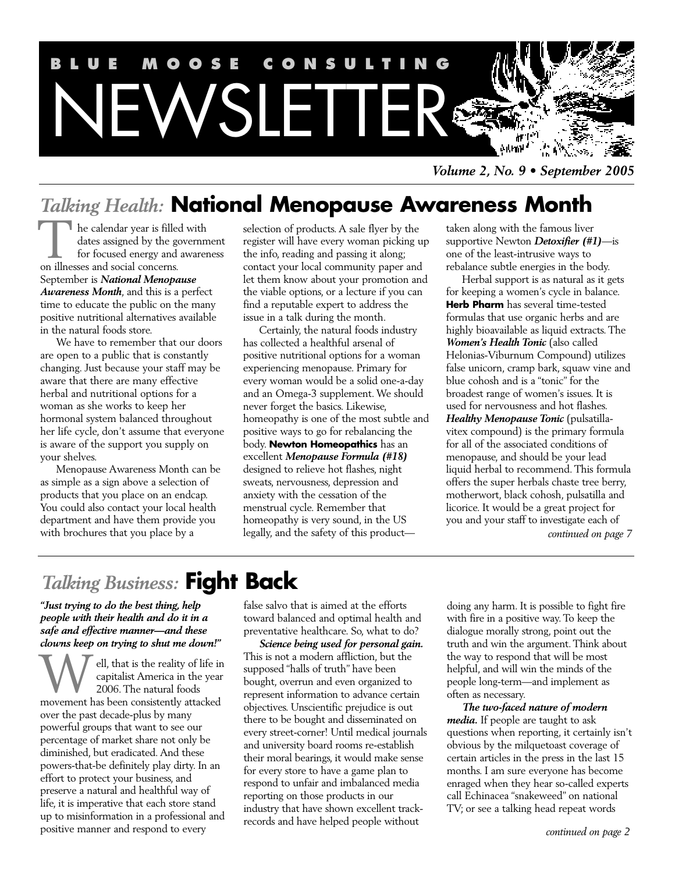

*Volume 2, No. 9 • September 2005*

## *Talking Health:* **National Menopause Awareness Month**

he calendar year is filled with dates assigned by the government for focused energy and awareness The calendar year is filled<br>ates assigned by the g<br>for focused energy and<br>on illnesses and social concerns. September is *National Menopause Awareness Month*, and this is a perfect time to educate the public on the many positive nutritional alternatives available in the natural foods store.

We have to remember that our doors are open to a public that is constantly changing. Just because your staff may be aware that there are many effective herbal and nutritional options for a woman as she works to keep her hormonal system balanced throughout her life cycle, don't assume that everyone is aware of the support you supply on your shelves.

Menopause Awareness Month can be as simple as a sign above a selection of products that you place on an endcap. You could also contact your local health department and have them provide you with brochures that you place by a

selection of products. A sale flyer by the register will have every woman picking up the info, reading and passing it along; contact your local community paper and let them know about your promotion and the viable options, or a lecture if you can find a reputable expert to address the issue in a talk during the month.

Certainly, the natural foods industry has collected a healthful arsenal of positive nutritional options for a woman experiencing menopause. Primary for every woman would be a solid one-a-day and an Omega-3 supplement. We should never forget the basics. Likewise, homeopathy is one of the most subtle and positive ways to go for rebalancing the body. **Newton Homeopathics** has an excellent *Menopause Formula (#18)* designed to relieve hot flashes, night sweats, nervousness, depression and anxiety with the cessation of the menstrual cycle. Remember that homeopathy is very sound, in the US legally, and the safety of this product—

taken along with the famous liver supportive Newton *Detoxifier (#1)*—is one of the least-intrusive ways to rebalance subtle energies in the body.

Herbal support is as natural as it gets for keeping a women's cycle in balance. **Herb Pharm** has several time-tested formulas that use organic herbs and are highly bioavailable as liquid extracts. The *Women's Health Tonic* (also called Helonias-Viburnum Compound) utilizes false unicorn, cramp bark, squaw vine and blue cohosh and is a "tonic" for the broadest range of women's issues. It is used for nervousness and hot flashes. *Healthy Menopause Tonic* (pulsatillavitex compound) is the primary formula for all of the associated conditions of menopause, and should be your lead liquid herbal to recommend. This formula offers the super herbals chaste tree berry, motherwort, black cohosh, pulsatilla and licorice. It would be a great project for you and your staff to investigate each of *continued on page 7*

## *Talking Business:* **Fight Back**

*"Just trying to do the best thing, help people with their health and do it in a safe and effective manner—and these clowns keep on trying to shut me down!"*

ell, that is the reality of life in capitalist America in the year 2006. The natural foods **W** ell, that is the reality of life is capitalist America in the year<br>2006. The natural foods<br>movement has been consistently attacked over the past decade-plus by many powerful groups that want to see our percentage of market share not only be diminished, but eradicated. And these powers-that-be definitely play dirty. In an effort to protect your business, and preserve a natural and healthful way of life, it is imperative that each store stand up to misinformation in a professional and positive manner and respond to every

false salvo that is aimed at the efforts toward balanced and optimal health and preventative healthcare. So, what to do?

*Science being used for personal gain.* This is not a modern affliction, but the supposed "halls of truth" have been bought, overrun and even organized to represent information to advance certain objectives. Unscientific prejudice is out there to be bought and disseminated on every street-corner! Until medical journals and university board rooms re-establish their moral bearings, it would make sense for every store to have a game plan to respond to unfair and imbalanced media reporting on those products in our industry that have shown excellent trackrecords and have helped people without

doing any harm. It is possible to fight fire with fire in a positive way. To keep the dialogue morally strong, point out the truth and win the argument. Think about the way to respond that will be most helpful, and will win the minds of the people long-term—and implement as often as necessary.

*The two-faced nature of modern media.* If people are taught to ask questions when reporting, it certainly isn't obvious by the milquetoast coverage of certain articles in the press in the last 15 months. I am sure everyone has become enraged when they hear so-called experts call Echinacea "snakeweed" on national TV; or see a talking head repeat words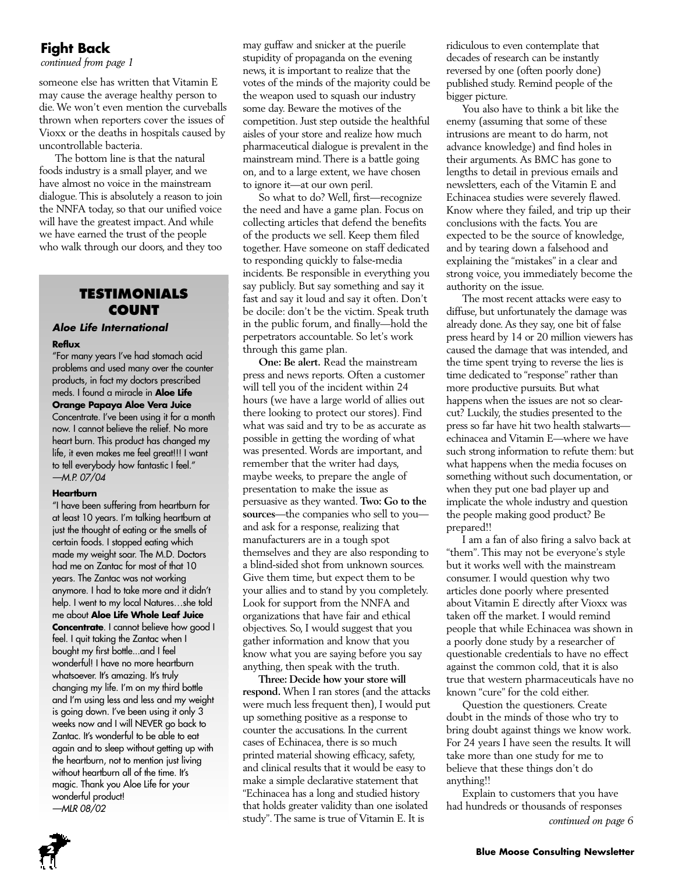## **Fight Back**

*continued from page 1*

someone else has written that Vitamin E may cause the average healthy person to die.We won't even mention the curveballs thrown when reporters cover the issues of Vioxx or the deaths in hospitals caused by uncontrollable bacteria.

The bottom line is that the natural foods industry is a small player, and we have almost no voice in the mainstream dialogue.This is absolutely a reason to join the NNFA today, so that our unified voice will have the greatest impact.And while we have earned the trust of the people who walk through our doors, and they too

## **TESTIMONIALS COUNT**

## **Aloe Life International**

## **Reflux**

"For many years I've had stomach acid problems and used many over the counter products, in fact my doctors prescribed meds. I found a miracle in **Aloe Life Orange Papaya Aloe Vera Juice** Concentrate. I've been using it for a month now. I cannot believe the relief. No more heart burn. This product has changed my life, it even makes me feel great!!! I want to tell everybody how fantastic I feel." —M.P. 07/04

#### **Heartburn**

"I have been suffering from heartburn for at least 10 years. I'm talking heartburn at just the thought of eating or the smells of certain foods. I stopped eating which made my weight soar. The M.D. Doctors had me on Zantac for most of that 10 years. The Zantac was not working anymore. I had to take more and it didn't help. I went to my local Natures…she told me about **Aloe Life Whole Leaf Juice Concentrate**. I cannot believe how good I feel. I quit taking the Zantac when I bought my first bottle...and I feel wonderful! I have no more heartburn whatsoever. It's amazing. It's truly changing my life. I'm on my third bottle and I'm using less and less and my weight is going down. I've been using it only 3 weeks now and I will NEVER go back to Zantac. It's wonderful to be able to eat again and to sleep without getting up with the heartburn, not to mention just living without heartburn all of the time. It's magic. Thank you Aloe Life for your wonderful product!

—MLR 08/02

may guffaw and snicker at the puerile stupidity of propaganda on the evening news, it is important to realize that the votes of the minds of the majority could be the weapon used to squash our industry some day. Beware the motives of the competition. Just step outside the healthful aisles of your store and realize how much pharmaceutical dialogue is prevalent in the mainstream mind.There is a battle going on, and to a large extent, we have chosen to ignore it—at our own peril.

So what to do? Well, first—recognize the need and have a game plan. Focus on collecting articles that defend the benefits of the products we sell. Keep them filed together. Have someone on staff dedicated to responding quickly to false-media incidents. Be responsible in everything you say publicly. But say something and say it fast and say it loud and say it often. Don't be docile: don't be the victim. Speak truth in the public forum, and finally—hold the perpetrators accountable. So let's work through this game plan.

**One: Be alert.** Read the mainstream press and news reports. Often a customer will tell you of the incident within 24 hours (we have a large world of allies out there looking to protect our stores). Find what was said and try to be as accurate as possible in getting the wording of what was presented.Words are important, and remember that the writer had days, maybe weeks, to prepare the angle of presentation to make the issue as persuasive as they wanted. **Two: Go to the sources**—the companies who sell to you and ask for a response, realizing that manufacturers are in a tough spot themselves and they are also responding to a blind-sided shot from unknown sources. Give them time, but expect them to be your allies and to stand by you completely. Look for support from the NNFA and organizations that have fair and ethical objectives. So, I would suggest that you gather information and know that you know what you are saying before you say anything, then speak with the truth.

**Three: Decide how your store will respond.** When I ran stores (and the attacks were much less frequent then), I would put up something positive as a response to counter the accusations. In the current cases of Echinacea, there is so much printed material showing efficacy, safety, and clinical results that it would be easy to make a simple declarative statement that "Echinacea has a long and studied history that holds greater validity than one isolated study".The same is true of Vitamin E. It is

ridiculous to even contemplate that decades of research can be instantly reversed by one (often poorly done) published study. Remind people of the bigger picture.

You also have to think a bit like the enemy (assuming that some of these intrusions are meant to do harm, not advance knowledge) and find holes in their arguments. As BMC has gone to lengths to detail in previous emails and newsletters, each of the Vitamin E and Echinacea studies were severely flawed. Know where they failed, and trip up their conclusions with the facts.You are expected to be the source of knowledge, and by tearing down a falsehood and explaining the "mistakes" in a clear and strong voice, you immediately become the authority on the issue.

The most recent attacks were easy to diffuse, but unfortunately the damage was already done.As they say, one bit of false press heard by 14 or 20 million viewers has caused the damage that was intended, and the time spent trying to reverse the lies is time dedicated to "response" rather than more productive pursuits. But what happens when the issues are not so clearcut? Luckily, the studies presented to the press so far have hit two health stalwarts echinacea and Vitamin E—where we have such strong information to refute them: but what happens when the media focuses on something without such documentation, or when they put one bad player up and implicate the whole industry and question the people making good product? Be prepared!!

I am a fan of also firing a salvo back at "them". This may not be everyone's style but it works well with the mainstream consumer. I would question why two articles done poorly where presented about Vitamin E directly after Vioxx was taken off the market. I would remind people that while Echinacea was shown in a poorly done study by a researcher of questionable credentials to have no effect against the common cold, that it is also true that western pharmaceuticals have no known "cure" for the cold either.

Question the questioners. Create doubt in the minds of those who try to bring doubt against things we know work. For 24 years I have seen the results. It will take more than one study for me to believe that these things don't do anything!!

Explain to customers that you have had hundreds or thousands of responses *continued on page 6*

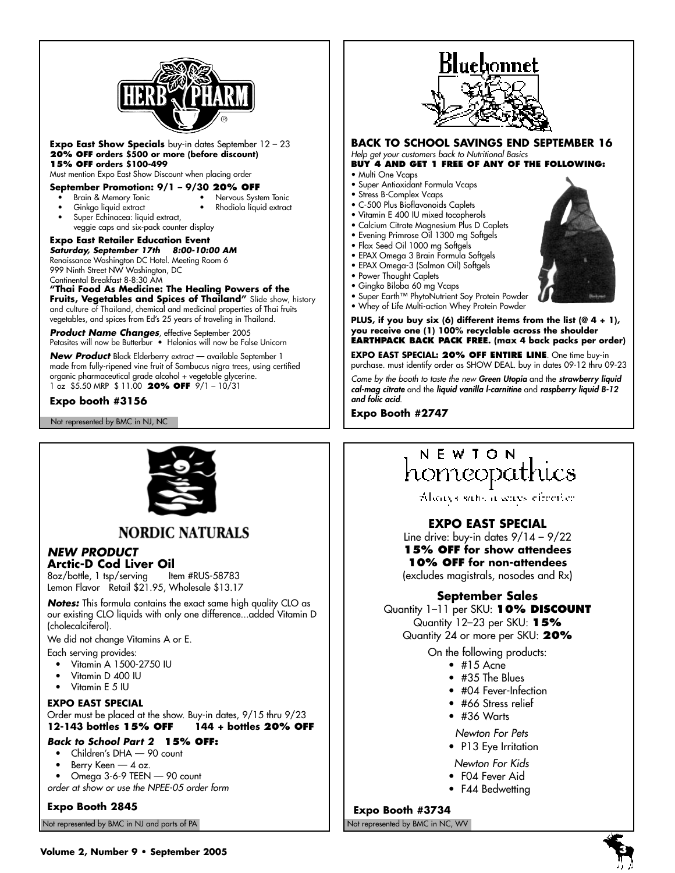

**Expo East Show Specials** buy-in dates September 12 – 23 **20% OFF orders \$500 or more (before discount) 15% OFF orders \$100-499**

Must mention Expo East Show Discount when placing order

#### **September Promotion: 9/1 - 9/30 20% OFF**<br>• Brain & Memory Tonic • Nervous Syste • Nervous System Tonic

- - Ginkgo liquid extract Rhodiola liquid extract
	- Super Echinacea: liquid extract, veggie caps and six-pack counter display

**Expo East Retailer Education Event Saturday, September 17th 8:00-10:00 AM** Renaissance Washington DC Hotel. Meeting Room 6 999 Ninth Street NW Washington, DC

Continental Breakfast 8-8:30 AM **"Thai Food As Medicine: The Healing Powers of the Fruits, Vegetables and Spices of Thailand"** Slide show, history and culture of Thailand, chemical and medicinal properties of Thai fruits vegetables, and spices from Ed's 25 years of traveling in Thailand.

**Product Name Changes**, effective September 2005 Petasites will now be Butterbur • Helonias will now be False Unicorn

**New Product** Black Elderberry extract — available September 1 made from fully-ripened vine fruit of Sambucus nigra trees, using certified organic pharmaceutical grade alcohol + vegetable glycerine. 1 oz \$5.50 MRP \$ 11.00 **20% OFF** 9/1 – 10/31

## **Expo booth #3156**

Not represented by BMC in NJ, NC



## **NORDIC NATURALS**

## **NEW PRODUCT**

**Arctic-D Cod Liver Oil**<br>8oz/bottle. 1 tsp/serving ltem #RUS-58783  $8oz/b$ ottle, 1 tsp/serving Lemon Flavor Retail \$21.95, Wholesale \$13.17

**Notes:** This formula contains the exact same high quality CLO as our existing CLO liquids with only one difference...added Vitamin D (cholecalciferol).

We did not change Vitamins A or E.

- Each serving provides: • Vitamin A 1500-2750 IU
	- Vitamin D 400 IU
	- Vitamin E 5 IU
	-

## **EXPO EAST SPECIAL**

Order must be placed at the show. Buy-in dates, 9/15 thru 9/23<br>1**2-143 bottles 15% OFF** 144 + bottles 20% OFF **12-143 bottles 15% OFF 144 + bottles 20% OFF**

## **Back to School Part 2 15% OFF:**

- Children's DHA 90 count
- Berry Keen 4 oz.
- Omega 3-6-9 TEEN 90 count

order at show or use the NPEE-05 order form

**Expo Booth 2845**

Not represented by BMC in NJ and parts of PA Not represented by BMC in NC, WV Not represented by BMC in NC, WV



#### **BACK TO SCHOOL SAVINGS END SEPTEMBER 16** Help get your customers back to Nutritional Basics

## **BUY 4 AND GET 1 FREE OF ANY OF THE FOLLOWING:**

- Multi One Vcaps
- Super Antioxidant Formula Vcaps
- Stress B-Complex Vcaps
- C-500 Plus Bioflavonoids Caplets • Vitamin E 400 IU mixed tocopherols
- Calcium Citrate Magnesium Plus D Caplets
- Evening Primrose Oil 1300 mg Softgels
- Flax Seed Oil 1000 mg Softgels
- EPAX Omega 3 Brain Formula Softgels
- EPAX Omega-3 (Salmon Oil) Softgels
- Power Thought Caplets
- Gingko Biloba 60 mg Vcaps
- Super Earth™ PhytoNutrient Soy Protein Powder
- Whey of Life Multi-action Whey Protein Powder

**PLUS, if you buy six (6) different items from the list (@ 4 + 1), you receive one (1) 100% recyclable across the shoulder EARTHPACK BACK PACK FREE. (max 4 back packs per order)**

**EXPO EAST SPECIAL: 20% OFF ENTIRE LINE**. One time buy-in purchase. must identify order as SHOW DEAL. buy in dates 09-12 thru 09-23

Come by the booth to taste the new **Green Utopia** and the **strawberry liquid cal-mag citrate** and the **liquid vanilla l-carnitine** and **raspberry liquid B-12 and folic acid**.

**Expo Booth #2747**

## NEWION homeopathi

Alsonys sale, a sense election

## **EXPO EAST SPECIAL**

Line drive: buy-in dates  $9/14 - 9/22$ **15% OFF for show attendees 10% OFF for non-attendees** (excludes magistrals, nosodes and Rx)

## **September Sales**

Quantity 1–11 per SKU: **10% DISCOUNT**  Quantity 12–23 per SKU: **15%** Quantity 24 or more per SKU: **20%** 

On the following products:

- 
- #35 The Blues
- 
- #66 Stress relief
- #36 Warts

Newton For Pets

- P13 Eye Irritation
- Newton For Kids
- F04 Fever Aid
- F44 Bedwetting

**Expo Booth #3734**





- $\bullet$  #15 Acne
- 
- #04 Fever-Infection
- 
-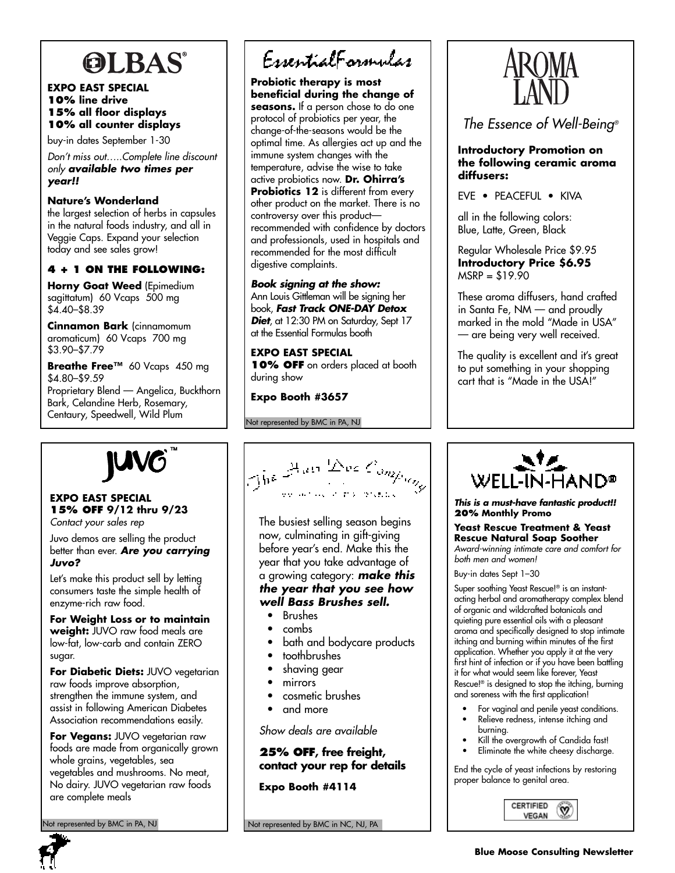# **OLBAS®**

## **EXPO EAST SPECIAL 10% line drive 15% all floor displays 10% all counter displays**

buy-in dates September 1-30

Don't miss out…..Complete line discount only **available two times per year!!**

**Nature's Wonderland** the largest selection of herbs in capsules in the natural foods industry, and all in Veggie Caps. Expand your selection today and see sales grow!

## **4 + 1 ON THE FOLLOWING:**

**Horny Goat Weed** (Epimedium sagittatum) 60 Vcaps 500 mg \$4.40–\$8.39

**Cinnamon Bark** (cinnamomum aromaticum) 60 Vcaps 700 mg \$3.90–\$7.79

**Breathe Free™** 60 Vcaps 450 mg \$4.80–\$9.59 Proprietary Blend — Angelica, Buckthorn

Bark, Celandine Herb, Rosemary, Centaury, Speedwell, Wild Plum



## **EXPO EAST SPECIAL 15% OFF 9/12 thru 9/23** Contact your sales rep

Juvo demos are selling the product better than ever. **Are you carrying Juvo?** 

Let's make this product sell by letting consumers taste the simple health of enzyme-rich raw food.

**For Weight Loss or to maintain weight:** JUVO raw food meals are low-fat, low-carb and contain ZERO sugar.

**For Diabetic Diets:** JUVO vegetarian raw foods improve absorption, strengthen the immune system, and assist in following American Diabetes Association recommendations easily.

**For Vegans:** JUVO vegetarian raw foods are made from organically grown whole grains, vegetables, sea vegetables and mushrooms. No meat, No dairy. JUVO vegetarian raw foods are complete meals

Not represented by BMC in PA, NJ

EssentialFormulas

**Probiotic therapy is most beneficial during the change of seasons.** If a person chose to do one protocol of probiotics per year, the change-of-the-seasons would be the optimal time. As allergies act up and the immune system changes with the temperature, advise the wise to take active probiotics now. **Dr. Ohirra's Probiotics 12** is different from every other product on the market. There is no controversy over this product recommended with confidence by doctors and professionals, used in hospitals and recommended for the most difficult digestive complaints.

## **Book signing at the show:**

Ann Louis Gittleman will be signing her book, **Fast Track ONE-DAY Detox Diet**, at 12:30 PM on Saturday, Sept 17 at the Essential Formulas booth

**EXPO EAST SPECIAL 10% OFF** on orders placed at booth during show

**Expo Booth #3657**

Not represented by BMC in PA, NJ

The  $\mathbb{E}^{\log D_{\text{out}} \times C_{\text{on} \times \log \log p_{\text{out}}}}$ 

The busiest selling season begins now, culminating in gift-giving before year's end. Make this the year that you take advantage of a growing category: **make this the year that you see how well Bass Brushes sell.**

- Brushes
- combs
- bath and bodycare products
- toothbrushes
- shaving gear
- mirrors
- cosmetic brushes
- and more

Show deals are available

**25% OFF, free freight, contact your rep for details**

**Expo Booth #4114**

Not represented by BMC in NC, NJ, PA



The Essence of Well-Being®

## **Introductory Promotion on the following ceramic aroma diffusers:**

EVE • PEACEFUL • KIVA

all in the following colors: Blue, Latte, Green, Black

Regular Wholesale Price \$9.95 **Introductory Price \$6.95**  $MSRP = $19.90$ 

These aroma diffusers, hand crafted in Santa Fe, NM — and proudly marked in the mold "Made in USA" — are being very well received.

The quality is excellent and it's great to put something in your shopping cart that is "Made in the USA!"



**This is a must-have fantastic product!! 20% Monthly Promo** 

**Yeast Rescue Treatment & Yeast Rescue Natural Soap Soother**  Award-winning intimate care and comfort for both men and women!

Buy-in dates Sept 1–30

Super soothing Yeast Rescue!® is an instantacting herbal and aromatherapy complex blend of organic and wildcrafted botanicals and quieting pure essential oils with a pleasant aroma and specifically designed to stop intimate itching and burning within minutes of the first application. Whether you apply it at the very first hint of infection or if you have been battling it for what would seem like forever, Yeast Rescue!® is designed to stop the itching, burning and soreness with the first application!

- For vaginal and penile yeast conditions.
- Relieve redness, intense itching and
- burning. Kill the overgrowth of Candida fast!
- Eliminate the white cheesy discharge.

End the cycle of yeast infections by restoring proper balance to genital area.

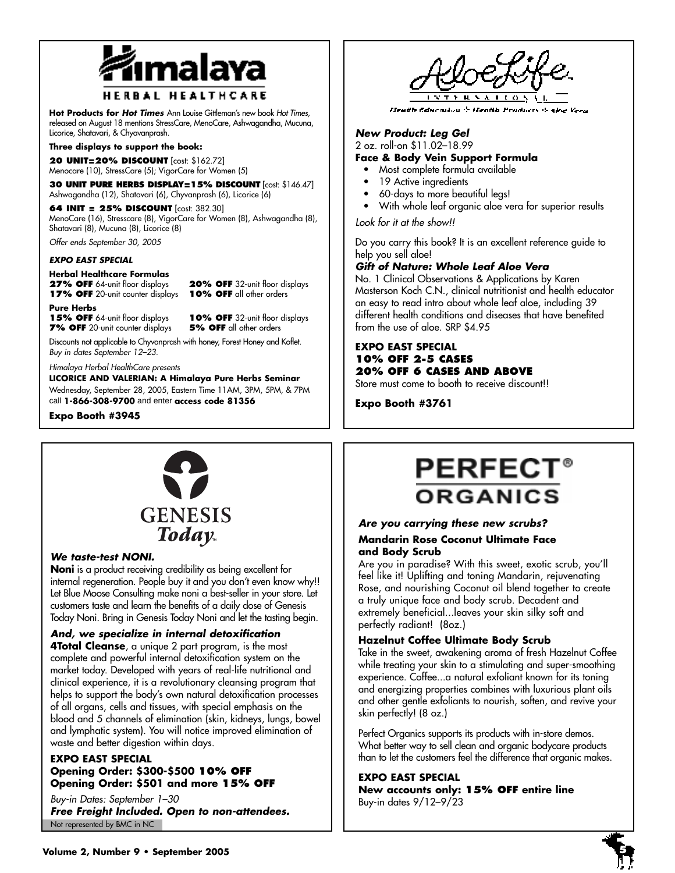

## **HERBAL HEALTHCARE**

**Hot Products for Hot Times** Ann Louise Gittleman's new book Hot Times, released on August 18 mentions StressCare, MenoCare, Ashwagandha, Mucuna, Licorice, Shatavari, & Chyavanprash.

#### **Three displays to support the book:**

**20 UNIT=20% DISCOUNT** [cost: \$162.72] Menocare (10), StressCare (5); VigorCare for Women (5)

**30 UNIT PURE HERBS DISPLAY=15% DISCOUNT** [cost: \$146.47] Ashwagandha (12), Shatavari (6), Chyvanprash (6), Licorice (6)

**64 INIT = 25% DISCOUNT** [cost: 382.30] MenoCare (16), Stresscare (8), VigorCare for Women (8), Ashwagandha (8), Shatavari (8), Mucuna (8), Licorice (8)

Offer ends September 30, 2005

### **EXPO EAST SPECIAL**

## **Herbal Healthcare Formulas**

**27% OFF** 64-unit floor displays **20% OFF** 32-unit floor displays **17% OFF** 20-unit counter displays **10% OFF** all other orders

**Pure Herbs 15% OFF** 64-unit floor displays **10% OFF** 32-unit floor displays **7% OFF** 20-unit counter displays **5% OFF** all other orders

Discounts not applicable to Chyvanprash with honey, Forest Honey and Koflet. Buy in dates September 12–23.

#### Himalaya Herbal HealthCare presents

**LICORICE AND VALERIAN: A Himalaya Pure Herbs Seminar** Wednesday, September 28, 2005, Eastern Time 11AM, 3PM, 5PM, & 7PM call **1-866-308-9700** and enter **access code 81356** 

**Expo Booth #3945**



## **We taste-test NONI.**

**Noni** is a product receiving credibility as being excellent for internal regeneration. People buy it and you don't even know why!! Let Blue Moose Consulting make noni a best-seller in your store. Let customers taste and learn the benefits of a daily dose of Genesis Today Noni. Bring in Genesis Today Noni and let the tasting begin.

## **And, we specialize in internal detoxification**

**4Total Cleanse**, a unique 2 part program, is the most complete and powerful internal detoxification system on the market today. Developed with years of real-life nutritional and clinical experience, it is a revolutionary cleansing program that helps to support the body's own natural detoxification processes of all organs, cells and tissues, with special emphasis on the blood and 5 channels of elimination (skin, kidneys, lungs, bowel and lymphatic system). You will notice improved elimination of waste and better digestion within days.

## **EXPO EAST SPECIAL Opening Order: \$300-\$500 10% OFF Opening Order: \$501 and more 15% OFF**

Not represented by BMC in NC Buy-in Dates: September 1–30 **Free Freight Included. Open to non-attendees.**

Heath Concordius & Heath Products &

## **New Product: Leg Gel**

2 oz. roll-on \$11.02–18.99

## **Face & Body Vein Support Formula**

- Most complete formula available
- 19 Active ingredients
- 60-days to more beautiful legs!
- With whole leaf organic aloe vera for superior results

Look for it at the show!!

Do you carry this book? It is an excellent reference guide to help you sell aloe!

## **Gift of Nature: Whole Leaf Aloe Vera**

No. 1 Clinical Observations & Applications by Karen Masterson Koch C.N., clinical nutritionist and health educator an easy to read intro about whole leaf aloe, including 39 different health conditions and diseases that have benefited from the use of aloe. SRP \$4.95

## **EXPO EAST SPECIAL 10% OFF 2-5 CASES 20% OFF 6 CASES AND ABOVE**

Store must come to booth to receive discount!!

**Expo Booth #3761**

## **PERFECT ORGANICS**

## **Are you carrying these new scrubs?**

## **Mandarin Rose Coconut Ultimate Face and Body Scrub**

Are you in paradise? With this sweet, exotic scrub, you'll feel like it! Uplifting and toning Mandarin, rejuvenating Rose, and nourishing Coconut oil blend together to create a truly unique face and body scrub. Decadent and extremely beneficial...leaves your skin silky soft and perfectly radiant! (8oz.)

## **Hazelnut Coffee Ultimate Body Scrub**

Take in the sweet, awakening aroma of fresh Hazelnut Coffee while treating your skin to a stimulating and super-smoothing experience. Coffee...a natural exfoliant known for its toning and energizing properties combines with luxurious plant oils and other gentle exfoliants to nourish, soften, and revive your skin perfectly! (8 oz.)

Perfect Organics supports its products with in-store demos. What better way to sell clean and organic bodycare products than to let the customers feel the difference that organic makes.

## **EXPO EAST SPECIAL**

**New accounts only: 15% OFF entire line** Buy-in dates 9/12–9/23

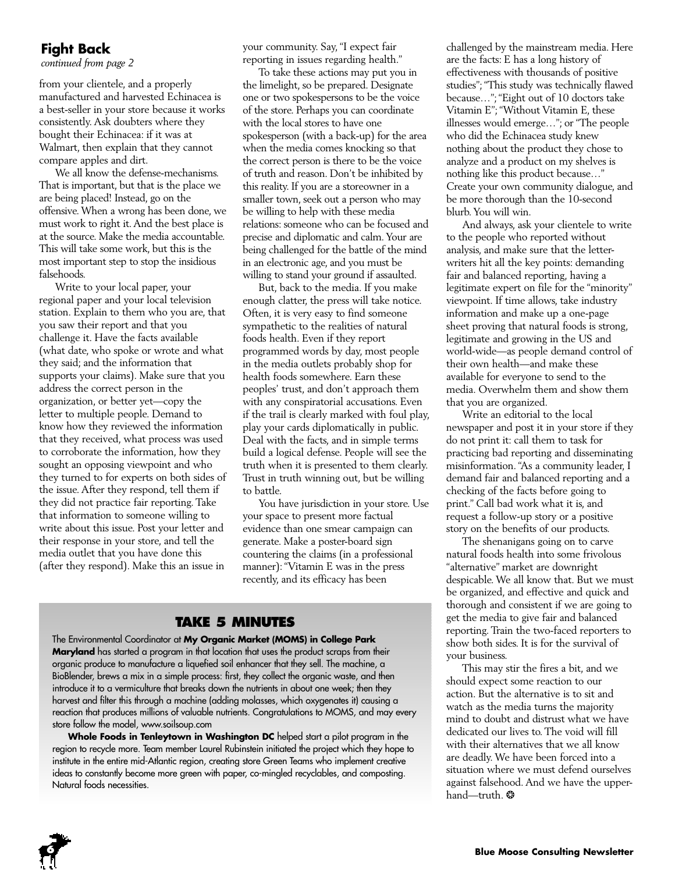## **Fight Back**

*continued from page 2*

from your clientele, and a properly manufactured and harvested Echinacea is a best-seller in your store because it works consistently. Ask doubters where they bought their Echinacea: if it was at Walmart, then explain that they cannot compare apples and dirt.

We all know the defense-mechanisms. That is important, but that is the place we are being placed! Instead, go on the offensive.When a wrong has been done, we must work to right it.And the best place is at the source. Make the media accountable. This will take some work, but this is the most important step to stop the insidious falsehoods.

Write to your local paper, your regional paper and your local television station. Explain to them who you are, that you saw their report and that you challenge it. Have the facts available (what date, who spoke or wrote and what they said; and the information that supports your claims). Make sure that you address the correct person in the organization, or better yet—copy the letter to multiple people. Demand to know how they reviewed the information that they received, what process was used to corroborate the information, how they sought an opposing viewpoint and who they turned to for experts on both sides of the issue. After they respond, tell them if they did not practice fair reporting. Take that information to someone willing to write about this issue. Post your letter and their response in your store, and tell the media outlet that you have done this (after they respond). Make this an issue in

your community. Say,"I expect fair reporting in issues regarding health."

To take these actions may put you in the limelight, so be prepared. Designate one or two spokespersons to be the voice of the store. Perhaps you can coordinate with the local stores to have one spokesperson (with a back-up) for the area when the media comes knocking so that the correct person is there to be the voice of truth and reason. Don't be inhibited by this reality. If you are a storeowner in a smaller town, seek out a person who may be willing to help with these media relations: someone who can be focused and precise and diplomatic and calm.Your are being challenged for the battle of the mind in an electronic age, and you must be willing to stand your ground if assaulted.

But, back to the media. If you make enough clatter, the press will take notice. Often, it is very easy to find someone sympathetic to the realities of natural foods health. Even if they report programmed words by day, most people in the media outlets probably shop for health foods somewhere. Earn these peoples' trust, and don't approach them with any conspiratorial accusations. Even if the trail is clearly marked with foul play, play your cards diplomatically in public. Deal with the facts, and in simple terms build a logical defense. People will see the truth when it is presented to them clearly. Trust in truth winning out, but be willing to battle.

You have jurisdiction in your store. Use your space to present more factual evidence than one smear campaign can generate. Make a poster-board sign countering the claims (in a professional manner):"Vitamin E was in the press recently, and its efficacy has been

## **TAKE 5 MINUTES**

The Environmental Coordinator at **My Organic Market (MOMS) in College Park Maryland** has started a program in that location that uses the product scraps from their organic produce to manufacture a liquefied soil enhancer that they sell. The machine, a BioBlender, brews a mix in a simple process: first, they collect the organic waste, and then introduce it to a vermiculture that breaks down the nutrients in about one week; then they harvest and filter this through a machine (adding molasses, which oxygenates it) causing a reaction that produces millions of valuable nutrients. Congratulations to MOMS, and may every store follow the model, www.soilsoup.com

**Whole Foods in Tenleytown in Washington DC** helped start a pilot program in the region to recycle more. Team member Laurel Rubinstein initiated the project which they hope to institute in the entire mid-Atlantic region, creating store Green Teams who implement creative ideas to constantly become more green with paper, co-mingled recyclables, and composting. Natural foods necessities.

challenged by the mainstream media. Here are the facts: E has a long history of effectiveness with thousands of positive studies";"This study was technically flawed because…";"Eight out of 10 doctors take Vitamin E"; "Without Vitamin E, these illnesses would emerge…"; or "The people who did the Echinacea study knew nothing about the product they chose to analyze and a product on my shelves is nothing like this product because…" Create your own community dialogue, and be more thorough than the 10-second blurb.You will win.

And always, ask your clientele to write to the people who reported without analysis, and make sure that the letterwriters hit all the key points: demanding fair and balanced reporting, having a legitimate expert on file for the "minority" viewpoint. If time allows, take industry information and make up a one-page sheet proving that natural foods is strong, legitimate and growing in the US and world-wide—as people demand control of their own health—and make these available for everyone to send to the media. Overwhelm them and show them that you are organized.

Write an editorial to the local newspaper and post it in your store if they do not print it: call them to task for practicing bad reporting and disseminating misinformation."As a community leader, I demand fair and balanced reporting and a checking of the facts before going to print." Call bad work what it is, and request a follow-up story or a positive story on the benefits of our products.

The shenanigans going on to carve natural foods health into some frivolous "alternative" market are downright despicable.We all know that. But we must be organized, and effective and quick and thorough and consistent if we are going to get the media to give fair and balanced reporting. Train the two-faced reporters to show both sides. It is for the survival of your business.

This may stir the fires a bit, and we should expect some reaction to our action. But the alternative is to sit and watch as the media turns the majority mind to doubt and distrust what we have dedicated our lives to.The void will fill with their alternatives that we all know are deadly.We have been forced into a situation where we must defend ourselves against falsehood. And we have the upperhand—truth. \*

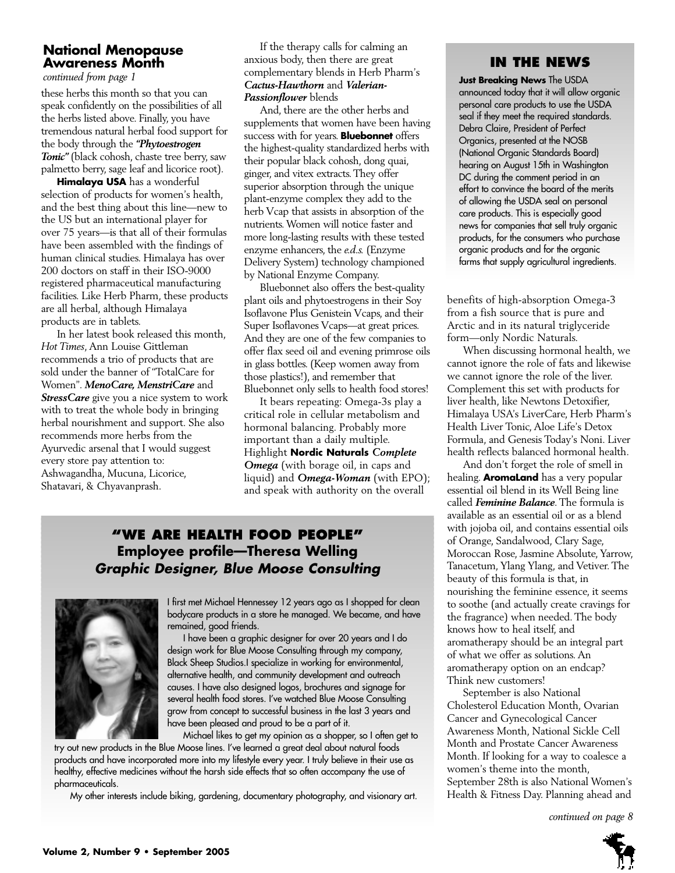## **National Menopause Awareness Month**

*continued from page 1*

these herbs this month so that you can speak confidently on the possibilities of all the herbs listed above. Finally, you have tremendous natural herbal food support for the body through the *"Phytoestrogen Tonic"* (black cohosh, chaste tree berry, saw palmetto berry, sage leaf and licorice root).

**Himalaya USA** has a wonderful selection of products for women's health, and the best thing about this line—new to the US but an international player for over 75 years—is that all of their formulas have been assembled with the findings of human clinical studies. Himalaya has over 200 doctors on staff in their ISO-9000 registered pharmaceutical manufacturing facilities. Like Herb Pharm, these products are all herbal, although Himalaya products are in tablets.

In her latest book released this month, *Hot Times*, Ann Louise Gittleman recommends a trio of products that are sold under the banner of "TotalCare for Women". *MenoCare, MenstriCare* and *StressCare* give you a nice system to work with to treat the whole body in bringing herbal nourishment and support. She also recommends more herbs from the Ayurvedic arsenal that I would suggest every store pay attention to: Ashwagandha, Mucuna, Licorice, Shatavari, & Chyavanprash.

If the therapy calls for calming an anxious body, then there are great complementary blends in Herb Pharm's *Cactus-Hawthorn* and *Valerian-Passionflower* blends

And, there are the other herbs and supplements that women have been having success with for years. **Bluebonnet** offers the highest-quality standardized herbs with their popular black cohosh, dong quai, ginger, and vitex extracts.They offer superior absorption through the unique plant-enzyme complex they add to the herb Vcap that assists in absorption of the nutrients.Women will notice faster and more long-lasting results with these tested enzyme enhancers, the *e.d.s.* (Enzyme Delivery System) technology championed by National Enzyme Company.

Bluebonnet also offers the best-quality plant oils and phytoestrogens in their Soy Isoflavone Plus Genistein Vcaps, and their Super Isoflavones Vcaps—at great prices. And they are one of the few companies to offer flax seed oil and evening primrose oils in glass bottles. (Keep women away from those plastics!), and remember that Bluebonnet only sells to health food stores!

It bears repeating: Omega-3s play a critical role in cellular metabolism and hormonal balancing. Probably more important than a daily multiple. Highlight **Nordic Naturals** *Complete Omega* (with borage oil, in caps and liquid) and *Omega-Woman* (with EPO); and speak with authority on the overall

## **"WE ARE HEALTH FOOD PEOPLE" Employee profile—Theresa Welling Graphic Designer, Blue Moose Consulting**



I first met Michael Hennessey 12 years ago as I shopped for clean bodycare products in a store he managed. We became, and have remained, good friends.

I have been a graphic designer for over 20 years and I do design work for Blue Moose Consulting through my company, Black Sheep Studios.I specialize in working for environmental, alternative health, and community development and outreach causes. I have also designed logos, brochures and signage for several health food stores. I've watched Blue Moose Consulting grow from concept to successful business in the last 3 years and have been pleased and proud to be a part of it.

Michael likes to get my opinion as a shopper, so I often get to

try out new products in the Blue Moose lines. I've learned a great deal about natural foods products and have incorporated more into my lifestyle every year. I truly believe in their use as healthy, effective medicines without the harsh side effects that so often accompany the use of pharmaceuticals.

My other interests include biking, gardening, documentary photography, and visionary art.

## **IN THE NEWS**

**Just Breaking News** The USDA announced today that it will allow organic personal care products to use the USDA seal if they meet the required standards. Debra Claire, President of Perfect Organics, presented at the NOSB (National Organic Standards Board) hearing on August 15th in Washington DC during the comment period in an effort to convince the board of the merits of allowing the USDA seal on personal care products. This is especially good news for companies that sell truly organic products, for the consumers who purchase organic products and for the organic farms that supply agricultural ingredients.

benefits of high-absorption Omega-3 from a fish source that is pure and Arctic and in its natural triglyceride form—only Nordic Naturals.

When discussing hormonal health, we cannot ignore the role of fats and likewise we cannot ignore the role of the liver. Complement this set with products for liver health, like Newtons Detoxifier, Himalaya USA's LiverCare, Herb Pharm's Health Liver Tonic, Aloe Life's Detox Formula, and Genesis Today's Noni. Liver health reflects balanced hormonal health.

And don't forget the role of smell in healing. **AromaLand** has a very popular essential oil blend in its Well Being line called *Feminine Balance*.The formula is available as an essential oil or as a blend with jojoba oil, and contains essential oils of Orange, Sandalwood, Clary Sage, Moroccan Rose, Jasmine Absolute,Yarrow, Tanacetum,Ylang Ylang, and Vetiver.The beauty of this formula is that, in nourishing the feminine essence, it seems to soothe (and actually create cravings for the fragrance) when needed. The body knows how to heal itself, and aromatherapy should be an integral part of what we offer as solutions. An aromatherapy option on an endcap? Think new customers!

September is also National Cholesterol Education Month, Ovarian Cancer and Gynecological Cancer Awareness Month, National Sickle Cell Month and Prostate Cancer Awareness Month. If looking for a way to coalesce a women's theme into the month, September 28th is also National Women's Health & Fitness Day. Planning ahead and

*continued on page 8*

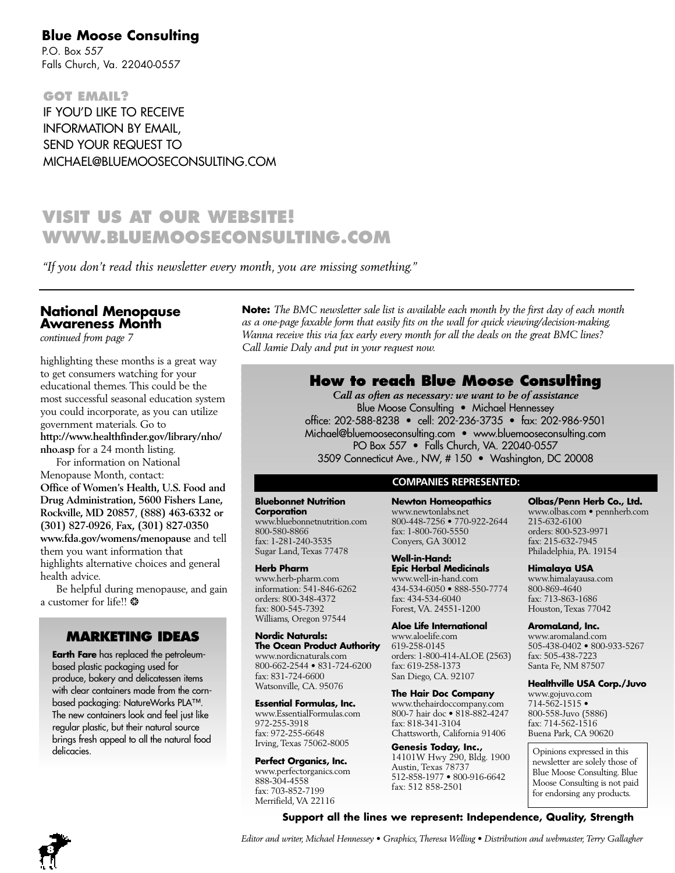## **Blue Moose Consulting**

P.O. Box 557 Falls Church, Va. 22040-0557

**GOT EMAIL?** IF YOU'D LIKE TO RECEIVE INFORMATION BY EMAIL, SEND YOUR REQUEST TO MICHAEL@BLUEMOOSECONSULTING.COM

## **VISIT US AT OUR WEBSITE! WWW.BLUEMOOSECONSULTING.COM**

*"If you don't read this newsletter every month, you are missing something."*

## **National Menopause Awareness Month**

*continued from page 7*

highlighting these months is a great way to get consumers watching for your educational themes.This could be the most successful seasonal education system you could incorporate, as you can utilize government materials. Go to **http://www.healthfinder.gov/library/nho/ nho.asp** for a 24 month listing.

For information on National Menopause Month, contact: **Office of Women's Health, U.S. Food and Drug Administration, 5600 Fishers Lane, Rockville, MD 20857**, **(888) 463-6332 or (301) 827-0926**, **Fax, (301) 827-0350 www.fda.gov/womens/menopause** and tell them you want information that highlights alternative choices and general health advice.

Be helpful during menopause, and gain a customer for life!! ❂

## **MARKETING IDEAS**

**Earth Fare** has replaced the petroleumbased plastic packaging used for produce, bakery and delicatessen items with clear containers made from the cornbased packaging: NatureWorks PLA™. The new containers look and feel just like regular plastic, but their natural source brings fresh appeal to all the natural food delicacies.

**Note:** *The BMC newsletter sale list is available each month by the first day of each month as a one-page faxable form that easily fits on the wall for quick viewing/decision-making. Wanna receive this via fax early every month for all the deals on the great BMC lines? Call Jamie Daly and put in your request now.*

## **How to reach Blue Moose Consulting**

*Call as often as necessary: we want to be of assistance* Blue Moose Consulting • Michael Hennessey office: 202-588-8238 • cell: 202-236-3735 • fax: 202-986-9501 Michael@bluemooseconsulting.com • www.bluemooseconsulting.com PO Box 557 • Falls Church, VA. 22040-0557 3509 Connecticut Ave., NW, # 150 • Washington, DC 20008

## **COMPANIES REPRESENTED:**

#### **Bluebonnet Nutrition Corporation**

www.bluebonnetnutrition.com 800-580-8866 fax: 1-281-240-3535 Sugar Land, Texas 77478

## **Herb Pharm**

www.herb-pharm.com information: 541-846-6262 orders: 800-348-4372 fax: 800-545-7392 Williams, Oregon 97544

## **Nordic Naturals:**

**The Ocean Product Authority** www.nordicnaturals.com 800-662-2544 • 831-724-6200 fax: 831-724-6600 Watsonville, CA. 95076

#### **Essential Formulas, Inc.**

www.EssentialFormulas.com 972-255-3918 fax: 972-255-6648 Irving, Texas 75062-8005

#### **Perfect Organics, Inc.**

www.perfectorganics.com 888-304-4558 fax: 703-852-7199 Merrifield, VA 22116

#### **Newton Homeopathics** www.newtonlabs.net 800-448-7256 • 770-922-2644 fax: 1-800-760-5550 Conyers, GA 30012

**Well-in-Hand: Epic Herbal Medicinals** www.well-in-hand.com 434-534-6050 • 888-550-7774 fax: 434-534-6040 Forest, VA. 24551-1200

#### **Aloe Life International**

www.aloelife.com 619-258-0145 orders: 1-800-414-ALOE (2563) fax: 619-258-1373 San Diego, CA. 92107

#### **The Hair Doc Company**

www.thehairdoccompany.com 800-7 hair doc • 818-882-4247 fax: 818-341-3104 Chattsworth, California 91406

**Genesis Today, Inc.,** 14101W Hwy 290, Bldg. 1900 Austin, Texas 78737 512-858-1977 • 800-916-6642 fax: 512 858-2501

**Support all the lines we represent: Independence, Quality, Strength**

**Olbas/Penn Herb Co., Ltd.** www.olbas.com • pennherb.com 215-632-6100 orders: 800-523-9971 fax: 215-632-7945 Philadelphia, PA. 19154

**Himalaya USA** www.himalayausa.com 800-869-4640 fax: 713-863-1686 Houston, Texas 77042

#### **AromaLand, Inc.**

www.aromaland.com 505-438-0402 • 800-933-5267 fax: 505-438-7223 Santa Fe, NM 87507

#### **Healthville USA Corp./Juvo**

www.gojuvo.com 714-562-1515 • 800-558-Juvo (5886) fax: 714-562-1516 Buena Park, CA 90620

Opinions expressed in this newsletter are solely those of Blue Moose Consulting. Blue Moose Consulting is not paid for endorsing any products.



*Editor and writer, Michael Hennessey • Graphics, Theresa Welling • Distribution and webmaster, Terry Gallagher*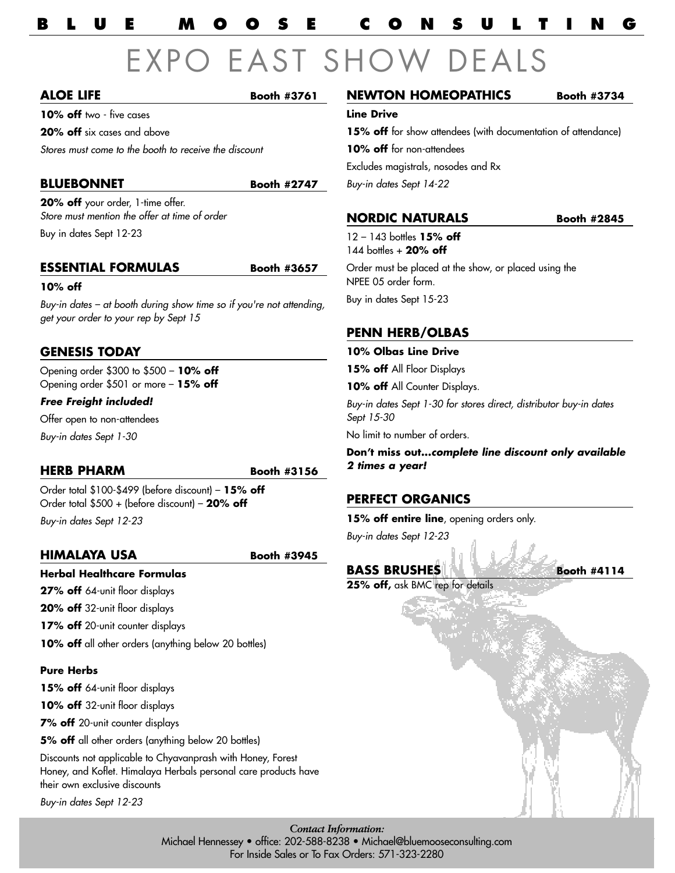## **BLUE MOOSE CONSULTING**

# EXPO EAST SHOV

## **ALOE LIFE Booth #3761**

**10% off** two - five cases

**20% off** six cases and above

Stores must come to the booth to receive the discount

## **BLUEBONNET** Booth #2747

**20% off** your order, 1-time offer. Store must mention the offer at time of order

Buy in dates Sept 12-23

## **ESSENTIAL FORMULAS Booth #3657**

## **10% off**

Buy-in dates – at booth during show time so if you're not attending, get your order to your rep by Sept 15

## **GENESIS TODAY**

Opening order \$300 to \$500 – **10% off**  Opening order \$501 or more – **15% off**

## **Free Freight included!**

Offer open to non-attendees Buy-in dates Sept 1-30

## **HERB PHARM Booth #3156**

Order total \$100-\$499 (before discount) – **15% off**  Order total \$500 + (before discount) – **20% off** Buy-in dates Sept 12-23

## **HIMALAYA USA Booth #3945**

**Herbal Healthcare Formulas**

**27% off** 64-unit floor displays

**20% off** 32-unit floor displays

**17% off** 20-unit counter displays

10% off all other orders (anything below 20 bottles)

## **Pure Herbs**

15% off 64-unit floor displays

**10% off** 32-unit floor displays

**7% off** 20-unit counter displays

**5% off** all other orders (anything below 20 bottles)

Discounts not applicable to Chyavanprash with Honey, Forest Honey, and Koflet. Himalaya Herbals personal care products have their own exclusive discounts

Buy-in dates Sept 12-23

## **NEWTON HOMEOPATHICS** Booth #3734

**Line Drive**

**15% off** for show attendees (with documentation of attendance)

**10% off** for non-attendees

Excludes magistrals, nosodes and Rx Buy-in dates Sept 14-22

**NORDIC NATURALS Booth #2845** 

12 – 143 bottles **15% off** 144 bottles + **20% off** 

Order must be placed at the show, or placed using the NPEE 05 order form. Buy in dates Sept 15-23

**PENN HERB/OLBAS** 

## **10% Olbas Line Drive**

**15% off** All Floor Displays

10% off All Counter Displays.

Buy-in dates Sept 1-30 for stores direct, distributor buy-in dates Sept 15-30

No limit to number of orders.

**Don't miss out...complete line discount only available 2 times a year!**

## **PERFECT ORGANICS**

**15% off entire line**, opening orders only.

Buy-in dates Sept 12-23

## **BASS BRUSHES Booth #4114**

**25% off,** ask BMC rep for details

*Contact Information:* Michael Hennessey • office: 202-588-8238 • Michael@bluemooseconsulting.com For Inside Sales or To Fax Orders: 571-323-2280